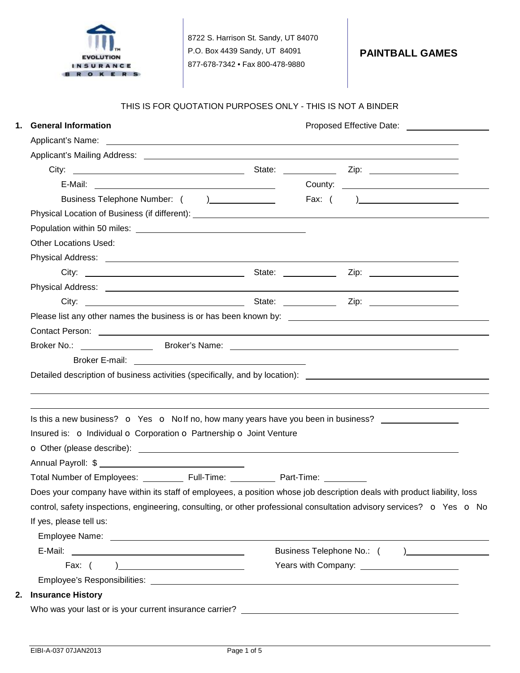

#### THIS IS FOR QUOTATION PURPOSES ONLY - THIS IS NOT A BINDER

| 1. | <b>General Information</b>                                                                                                                                                                                                                                                                     |  | Proposed Effective Date: <u>_____________________</u> |
|----|------------------------------------------------------------------------------------------------------------------------------------------------------------------------------------------------------------------------------------------------------------------------------------------------|--|-------------------------------------------------------|
|    | Applicant's Name: <u>example and the set of the set of the set of the set of the set of the set of the set of the set of the set of the set of the set of the set of the set of the set of the set of the set of the set of the </u>                                                           |  |                                                       |
|    |                                                                                                                                                                                                                                                                                                |  |                                                       |
|    |                                                                                                                                                                                                                                                                                                |  |                                                       |
|    |                                                                                                                                                                                                                                                                                                |  |                                                       |
|    | Business Telephone Number: () _______________                                                                                                                                                                                                                                                  |  |                                                       |
|    |                                                                                                                                                                                                                                                                                                |  |                                                       |
|    |                                                                                                                                                                                                                                                                                                |  |                                                       |
|    | <b>Other Locations Used:</b>                                                                                                                                                                                                                                                                   |  |                                                       |
|    |                                                                                                                                                                                                                                                                                                |  |                                                       |
|    |                                                                                                                                                                                                                                                                                                |  |                                                       |
|    |                                                                                                                                                                                                                                                                                                |  |                                                       |
|    |                                                                                                                                                                                                                                                                                                |  |                                                       |
|    |                                                                                                                                                                                                                                                                                                |  |                                                       |
|    | Contact Person: experience of the contract of the contract of the contract of the contract Person:                                                                                                                                                                                             |  |                                                       |
|    |                                                                                                                                                                                                                                                                                                |  |                                                       |
|    | Broker No.: _________________<br>Detailed description of business activities (specifically, and by location): <u>[1988]</u> Detailed description of business activities (specifically, and by location):                                                                                       |  |                                                       |
|    | Is this a new business? o Yes o Nolf no, how many years have you been in business?<br>Insured is: O Individual O Corporation O Partnership O Joint Venture                                                                                                                                     |  |                                                       |
|    |                                                                                                                                                                                                                                                                                                |  |                                                       |
|    |                                                                                                                                                                                                                                                                                                |  |                                                       |
|    | Total Number of Employees: ____________ Full-Time: _____________ Part-Time: __________                                                                                                                                                                                                         |  |                                                       |
|    | Does your company have within its staff of employees, a position whose job description deals with product liability, loss<br>control, safety inspections, engineering, consulting, or other professional consultation advisory services? $\bullet$ Yes $\bullet$ No<br>If yes, please tell us: |  |                                                       |
|    |                                                                                                                                                                                                                                                                                                |  |                                                       |
|    |                                                                                                                                                                                                                                                                                                |  |                                                       |
|    |                                                                                                                                                                                                                                                                                                |  | Years with Company: ________________________          |
|    | 2. Insurance History                                                                                                                                                                                                                                                                           |  |                                                       |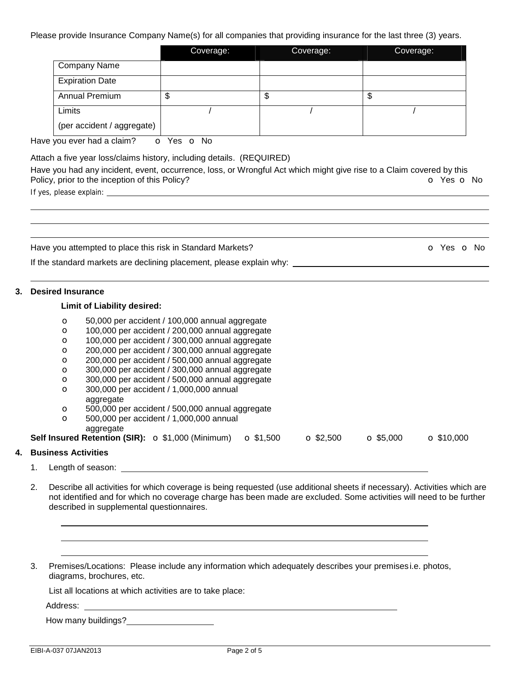Please provide Insurance Company Name(s) for all companies that providing insurance for the last three (3) years.

|                            | Coverage: | Coverage: | Coverage: |
|----------------------------|-----------|-----------|-----------|
| <b>Company Name</b>        |           |           |           |
| <b>Expiration Date</b>     |           |           |           |
| <b>Annual Premium</b>      | œ<br>J    | ጥ<br>จ    | Φ         |
| Limits                     |           |           |           |
| (per accident / aggregate) |           |           |           |

Have you ever had a claim? o Yes o No

Attach a five year loss/claims history, including details. (REQUIRED)

Have you had any incident, event, occurrence, loss, or Wrongful Act which might give rise to a Claim covered by this Policy, prior to the inception of this Policy? Comparison of the Policy?

If yes, please explain:

| Have you attempted to place this risk in Standard Markets?           | O Yes O No |
|----------------------------------------------------------------------|------------|
| If the standard markets are declining placement, please explain why: |            |
| 3. Desired Insurance                                                 |            |
| <b>Limit of Liability desired:</b>                                   |            |
| 50,000 per accident / 100,000 annual aggregate<br>$\circ$            |            |
| 100,000 per accident / 200,000 annual aggregate<br>$\circ$           |            |
| 100,000 per accident / 300,000 annual aggregate<br>$\Omega$          |            |
| 200.000 per accident / 300.000 annual accrease<br>⌒                  |            |

- 200,000 per accident / 300,000 annual aggregate
- o 200,000 per accident / 500,000 annual aggregate
- o 300,000 per accident / 300,000 annual aggregate o 300,000 per accident / 500,000 annual aggregate
- o 300,000 per accident / 1,000,000 annual
- aggregate
- o 500,000 per accident / 500,000 annual aggregate
- o 500,000 per accident / 1,000,000 annual aggregate

**Self Insured Retention (SIR):** o \$1,000 (Minimum) o \$1,500 o \$2,500 o \$5,000 o \$10,000

## **4. Business Activities**

- 1. Length of season:
- 2. Describe all activities for which coverage is being requested (use additional sheets if necessary). Activities which are not identified and for which no coverage charge has been made are excluded. Some activities will need to be further described in supplemental questionnaires.
- 3. Premises/Locations: Please include any information which adequately describes your premisesi.e. photos, diagrams, brochures, etc.

List all locations at which activities are to take place:

Address: National Address:

How many buildings?<br>
How many buildings?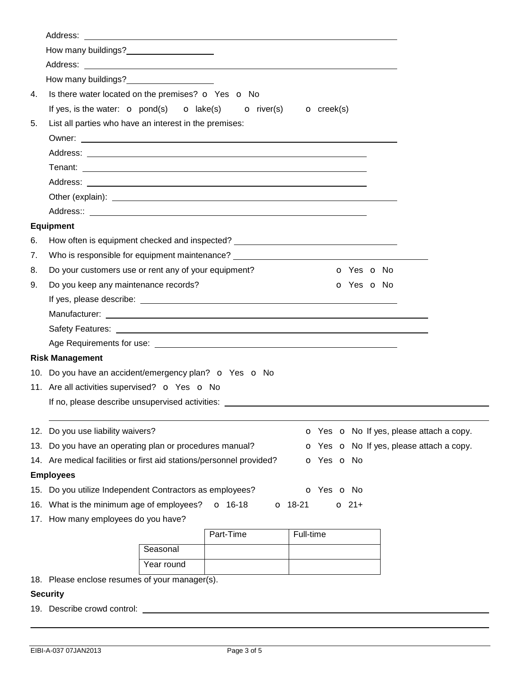|     | How many buildings?<br>Now many buildings?                                                                                                                                                                                           |            |           |           |                                          |  |
|-----|--------------------------------------------------------------------------------------------------------------------------------------------------------------------------------------------------------------------------------------|------------|-----------|-----------|------------------------------------------|--|
|     |                                                                                                                                                                                                                                      |            |           |           |                                          |  |
|     | How many buildings?<br>Management and the many buildings?                                                                                                                                                                            |            |           |           |                                          |  |
| 4.  | Is there water located on the premises? o Yes o No                                                                                                                                                                                   |            |           |           |                                          |  |
|     | If yes, is the water: $\bullet$ pond(s) $\bullet$ lake(s) $\bullet$ river(s) $\bullet$ creek(s)                                                                                                                                      |            |           |           |                                          |  |
| 5.  | List all parties who have an interest in the premises:                                                                                                                                                                               |            |           |           |                                          |  |
|     |                                                                                                                                                                                                                                      |            |           |           |                                          |  |
|     |                                                                                                                                                                                                                                      |            |           |           |                                          |  |
|     |                                                                                                                                                                                                                                      |            |           |           |                                          |  |
|     |                                                                                                                                                                                                                                      |            |           |           |                                          |  |
|     |                                                                                                                                                                                                                                      |            |           |           |                                          |  |
|     |                                                                                                                                                                                                                                      |            |           |           |                                          |  |
|     | <b>Equipment</b>                                                                                                                                                                                                                     |            |           |           |                                          |  |
| 6.  | How often is equipment checked and inspected? __________________________________                                                                                                                                                     |            |           |           |                                          |  |
| 7.  | Who is responsible for equipment maintenance? __________________________________                                                                                                                                                     |            |           |           |                                          |  |
| 8.  | Do your customers use or rent any of your equipment?<br><b>o</b> Yes <b>o</b> No                                                                                                                                                     |            |           |           |                                          |  |
| 9.  | Do you keep any maintenance records?                                                                                                                                                                                                 |            |           |           | <b>o</b> Yes <b>o</b> No                 |  |
|     |                                                                                                                                                                                                                                      |            |           |           |                                          |  |
|     |                                                                                                                                                                                                                                      |            |           |           |                                          |  |
|     |                                                                                                                                                                                                                                      |            |           |           |                                          |  |
|     | Age Requirements for use: <u>example and the contract of the contract of the contract of the contract of the contract of the contract of the contract of the contract of the contract of the contract of the contract of the con</u> |            |           |           |                                          |  |
|     | <b>Risk Management</b>                                                                                                                                                                                                               |            |           |           |                                          |  |
|     | 10. Do you have an accident/emergency plan? o Yes o No                                                                                                                                                                               |            |           |           |                                          |  |
|     | 11. Are all activities supervised? o Yes o No                                                                                                                                                                                        |            |           |           |                                          |  |
|     | If no, please describe unsupervised activities:                                                                                                                                                                                      |            |           |           |                                          |  |
|     |                                                                                                                                                                                                                                      |            |           |           |                                          |  |
|     | 12. Do you use liability waivers?                                                                                                                                                                                                    |            |           |           | O Yes O No If yes, please attach a copy. |  |
| 13. | Do you have an operating plan or procedures manual?<br>O Yes O No If yes, please attach a copy.                                                                                                                                      |            |           |           |                                          |  |
|     | 14. Are medical facilities or first aid stations/personnel provided?<br>o Yes o No                                                                                                                                                   |            |           |           |                                          |  |
|     | <b>Employees</b>                                                                                                                                                                                                                     |            |           |           |                                          |  |
|     | 15. Do you utilize Independent Contractors as employees?<br>o Yes o No                                                                                                                                                               |            |           |           |                                          |  |
|     | 16. What is the minimum age of employees?<br>$O$ 16-18<br>$O$ 18-21<br>$O$ 21+                                                                                                                                                       |            |           |           |                                          |  |
|     | 17. How many employees do you have?                                                                                                                                                                                                  |            |           |           |                                          |  |
|     |                                                                                                                                                                                                                                      |            | Part-Time | Full-time |                                          |  |
|     |                                                                                                                                                                                                                                      | Seasonal   |           |           |                                          |  |
|     |                                                                                                                                                                                                                                      | Year round |           |           |                                          |  |

18. Please enclose resumes of your manager(s).

# **Security**

19. Describe crowd control: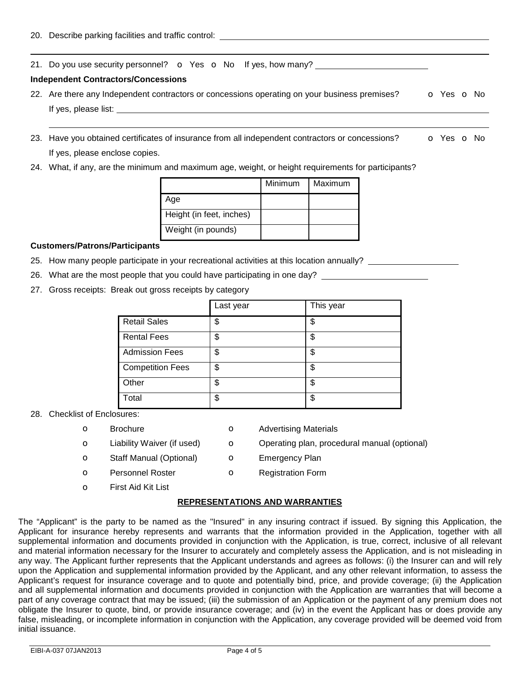21. Do you use security personnel?  $\bullet$  Yes  $\bullet$  No If yes, how many?

### **Independent Contractors/Concessions**

- 22. Are there any Independent contractors or concessions operating on your business premises? **o** Yes **o** No If yes, please list:  $\qquad \qquad \qquad$
- 23. Have you obtained certificates of insurance from all independent contractors or concessions? **o** Yes **o** No If yes, please enclose copies.
- 24. What, if any, are the minimum and maximum age, weight, or height requirements for participants?

|                          | Minimum | Maximum |
|--------------------------|---------|---------|
| Age                      |         |         |
| Height (in feet, inches) |         |         |
| Weight (in pounds)       |         |         |

#### **Customers/Patrons/Participants**

- 25. How many people participate in your recreational activities at this location annually?
- 26. What are the most people that you could have participating in one day?
- 27. Gross receipts: Break out gross receipts by category

|                         | Last year | This year |
|-------------------------|-----------|-----------|
| <b>Retail Sales</b>     | \$        | \$        |
| <b>Rental Fees</b>      | \$        | \$        |
| <b>Admission Fees</b>   | \$        | \$        |
| <b>Competition Fees</b> | \$        | \$        |
| Other                   | \$        | \$        |
| Total                   | \$        | \$        |

#### 28. Checklist of Enclosures:

- 
- 
- **o** Staff Manual (Optional) **o** Emergency Plan
- **o** Brochure **o** Advertising Materials
- **o** Liability Waiver (if used) **o** Operating plan, procedural manual (optional)
	-
- o Personnel Roster **o** Registration Form
- o First Aid Kit List

## **REPRESENTATIONS AND WARRANTIES**

The "Applicant" is the party to be named as the "Insured" in any insuring contract if issued. By signing this Application, the Applicant for insurance hereby represents and warrants that the information provided in the Application, together with all supplemental information and documents provided in conjunction with the Application, is true, correct, inclusive of all relevant and material information necessary for the Insurer to accurately and completely assess the Application, and is not misleading in any way. The Applicant further represents that the Applicant understands and agrees as follows: (i) the Insurer can and will rely upon the Application and supplemental information provided by the Applicant, and any other relevant information, to assess the Applicant's request for insurance coverage and to quote and potentially bind, price, and provide coverage; (ii) the Application and all supplemental information and documents provided in conjunction with the Application are warranties that will become a part of any coverage contract that may be issued; (iii) the submission of an Application or the payment of any premium does not obligate the Insurer to quote, bind, or provide insurance coverage; and (iv) in the event the Applicant has or does provide any false, misleading, or incomplete information in conjunction with the Application, any coverage provided will be deemed void from initial issuance.